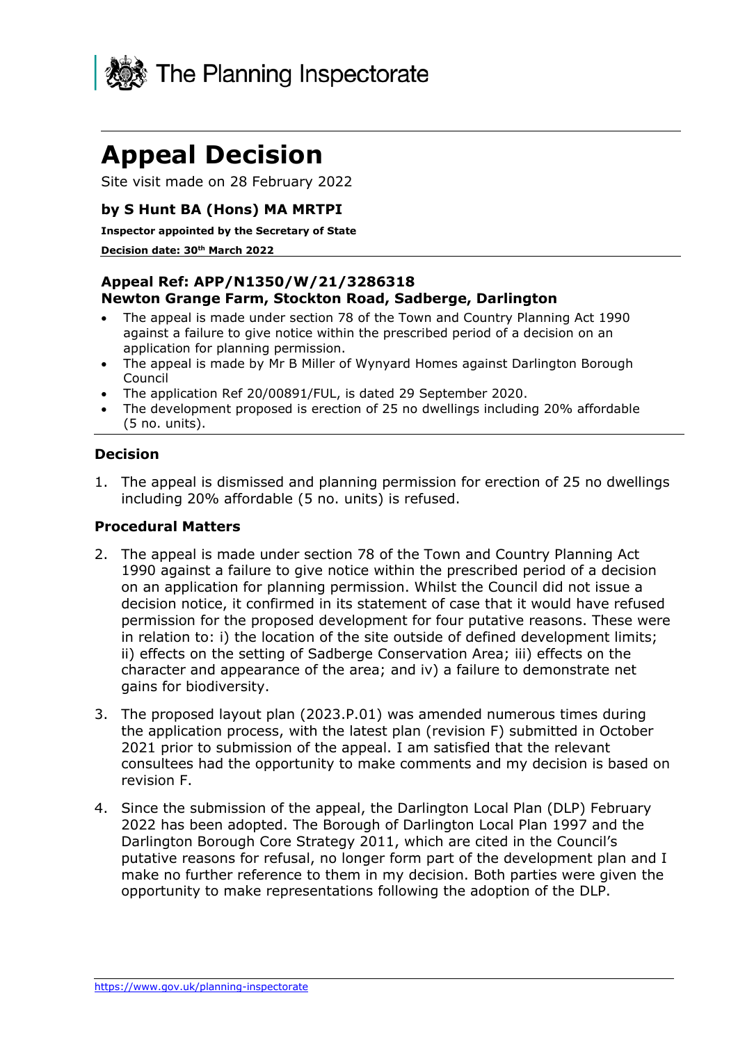

# **Appeal Decision**

Site visit made on 28 February 2022

## **by S Hunt BA (Hons) MA MRTPI**

**Inspector appointed by the Secretary of State** 

#### **Decision date: 30th March 2022**

#### **Appeal Ref: APP/N1350/W/21/3286318 Newton Grange Farm, Stockton Road, Sadberge, Darlington**

- The appeal is made under section 78 of the Town and Country Planning Act 1990 against a failure to give notice within the prescribed period of a decision on an application for planning permission.
- The appeal is made by Mr B Miller of Wynyard Homes against Darlington Borough Council
- The application Ref 20/00891/FUL, is dated 29 September 2020.
- The development proposed is erection of 25 no dwellings including 20% affordable (5 no. units).

#### **Decision**

1. The appeal is dismissed and planning permission for erection of 25 no dwellings including 20% affordable (5 no. units) is refused.

#### **Procedural Matters**

- 2. The appeal is made under section 78 of the Town and Country Planning Act 1990 against a failure to give notice within the prescribed period of a decision on an application for planning permission. Whilst the Council did not issue a decision notice, it confirmed in its statement of case that it would have refused permission for the proposed development for four putative reasons. These were in relation to: i) the location of the site outside of defined development limits; ii) effects on the setting of Sadberge Conservation Area; iii) effects on the character and appearance of the area; and iv) a failure to demonstrate net gains for biodiversity.
- 3. The proposed layout plan (2023.P.01) was amended numerous times during the application process, with the latest plan (revision F) submitted in October 2021 prior to submission of the appeal. I am satisfied that the relevant consultees had the opportunity to make comments and my decision is based on revision F.
- 4. Since the submission of the appeal, the Darlington Local Plan (DLP) February 2022 has been adopted. The Borough of Darlington Local Plan 1997 and the Darlington Borough Core Strategy 2011, which are cited in the Council's putative reasons for refusal, no longer form part of the development plan and I make no further reference to them in my decision. Both parties were given the opportunity to make representations following the adoption of the DLP.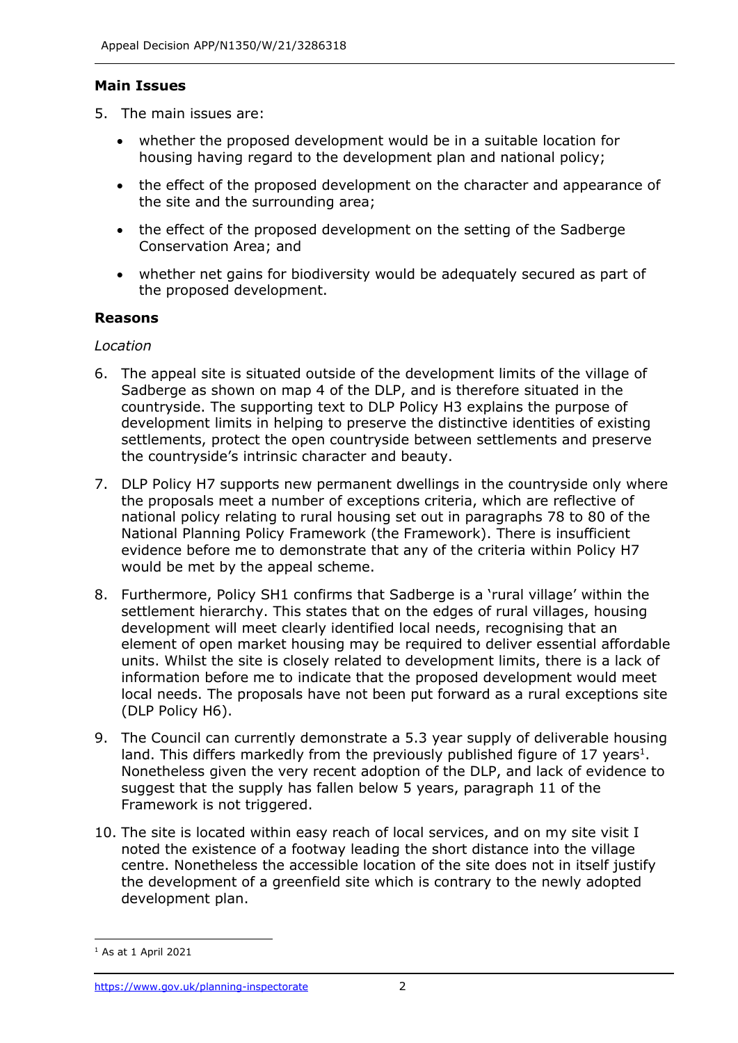## **Main Issues**

- 5. The main issues are:
	- whether the proposed development would be in a suitable location for housing having regard to the development plan and national policy;
	- the effect of the proposed development on the character and appearance of the site and the surrounding area;
	- the effect of the proposed development on the setting of the Sadberge Conservation Area; and
	- whether net gains for biodiversity would be adequately secured as part of the proposed development.

## **Reasons**

#### *Location*

- 6. The appeal site is situated outside of the development limits of the village of Sadberge as shown on map 4 of the DLP, and is therefore situated in the countryside. The supporting text to DLP Policy H3 explains the purpose of development limits in helping to preserve the distinctive identities of existing settlements, protect the open countryside between settlements and preserve the countryside's intrinsic character and beauty.
- 7. DLP Policy H7 supports new permanent dwellings in the countryside only where the proposals meet a number of exceptions criteria, which are reflective of national policy relating to rural housing set out in paragraphs 78 to 80 of the National Planning Policy Framework (the Framework). There is insufficient evidence before me to demonstrate that any of the criteria within Policy H7 would be met by the appeal scheme.
- 8. Furthermore, Policy SH1 confirms that Sadberge is a 'rural village' within the settlement hierarchy. This states that on the edges of rural villages, housing development will meet clearly identified local needs, recognising that an element of open market housing may be required to deliver essential affordable units. Whilst the site is closely related to development limits, there is a lack of information before me to indicate that the proposed development would meet local needs. The proposals have not been put forward as a rural exceptions site (DLP Policy H6).
- 9. The Council can currently demonstrate a 5.3 year supply of deliverable housing land. This differs markedly from the previously published figure of 17 years<sup>1</sup>. Nonetheless given the very recent adoption of the DLP, and lack of evidence to suggest that the supply has fallen below 5 years, paragraph 11 of the Framework is not triggered.
- 10. The site is located within easy reach of local services, and on my site visit I noted the existence of a footway leading the short distance into the village centre. Nonetheless the accessible location of the site does not in itself justify the development of a greenfield site which is contrary to the newly adopted development plan.

 $<sup>1</sup>$  As at 1 April 2021</sup>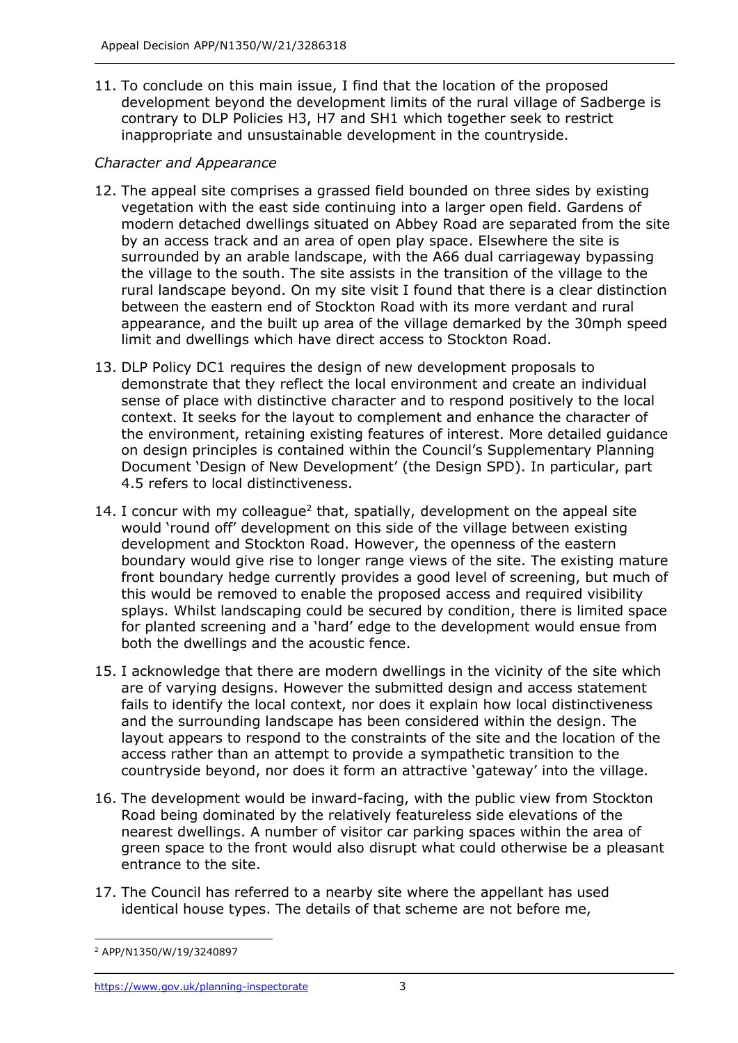11. To conclude on this main issue, I find that the location of the proposed development beyond the development limits of the rural village of Sadberge is contrary to DLP Policies H3, H7 and SH1 which together seek to restrict inappropriate and unsustainable development in the countryside.

## *Character and Appearance*

- 12. The appeal site comprises a grassed field bounded on three sides by existing vegetation with the east side continuing into a larger open field. Gardens of modern detached dwellings situated on Abbey Road are separated from the site by an access track and an area of open play space. Elsewhere the site is surrounded by an arable landscape, with the A66 dual carriageway bypassing the village to the south. The site assists in the transition of the village to the rural landscape beyond. On my site visit I found that there is a clear distinction between the eastern end of Stockton Road with its more verdant and rural appearance, and the built up area of the village demarked by the 30mph speed limit and dwellings which have direct access to Stockton Road.
- 13. DLP Policy DC1 requires the design of new development proposals to demonstrate that they reflect the local environment and create an individual sense of place with distinctive character and to respond positively to the local context. It seeks for the layout to complement and enhance the character of the environment, retaining existing features of interest. More detailed guidance on design principles is contained within the Council's Supplementary Planning Document 'Design of New Development' (the Design SPD). In particular, part 4.5 refers to local distinctiveness.
- 14. I concur with my colleague<sup>2</sup> that, spatially, development on the appeal site would 'round off' development on this side of the village between existing development and Stockton Road. However, the openness of the eastern boundary would give rise to longer range views of the site. The existing mature front boundary hedge currently provides a good level of screening, but much of this would be removed to enable the proposed access and required visibility splays. Whilst landscaping could be secured by condition, there is limited space for planted screening and a 'hard' edge to the development would ensue from both the dwellings and the acoustic fence.
- 15. I acknowledge that there are modern dwellings in the vicinity of the site which are of varying designs. However the submitted design and access statement fails to identify the local context, nor does it explain how local distinctiveness and the surrounding landscape has been considered within the design. The layout appears to respond to the constraints of the site and the location of the access rather than an attempt to provide a sympathetic transition to the countryside beyond, nor does it form an attractive 'gateway' into the village.
- 16. The development would be inward-facing, with the public view from Stockton Road being dominated by the relatively featureless side elevations of the nearest dwellings. A number of visitor car parking spaces within the area of green space to the front would also disrupt what could otherwise be a pleasant entrance to the site.
- 17. The Council has referred to a nearby site where the appellant has used identical house types. The details of that scheme are not before me,

<sup>2</sup> APP/N1350/W/19/3240897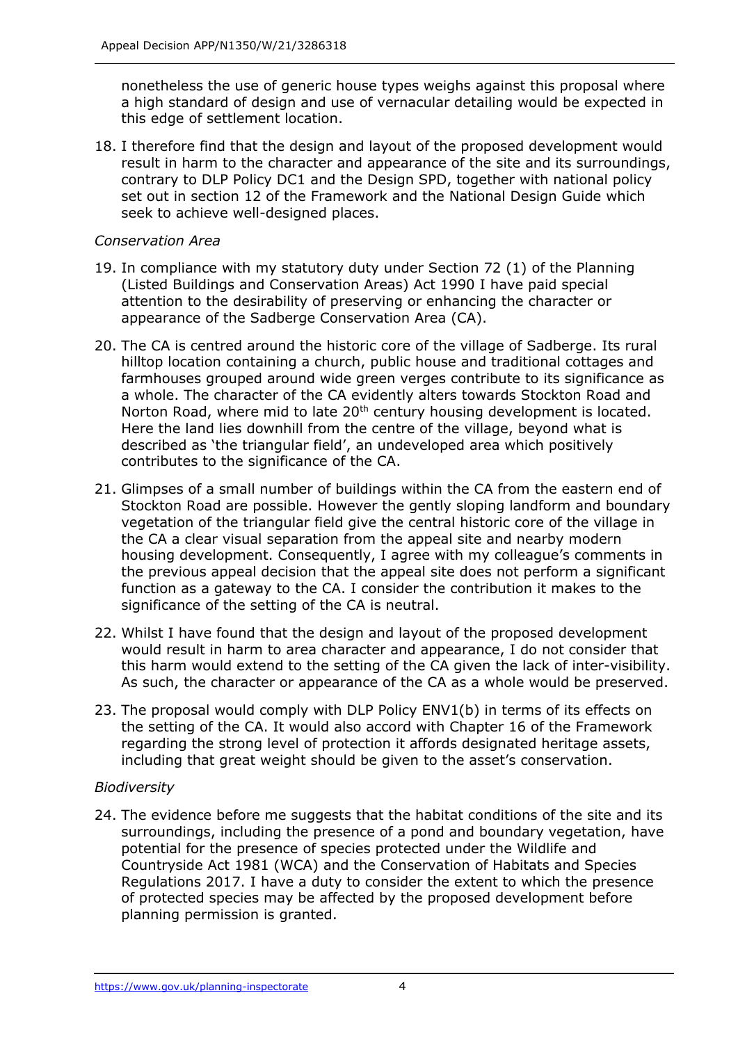nonetheless the use of generic house types weighs against this proposal where a high standard of design and use of vernacular detailing would be expected in this edge of settlement location.

18. I therefore find that the design and layout of the proposed development would result in harm to the character and appearance of the site and its surroundings, contrary to DLP Policy DC1 and the Design SPD, together with national policy set out in section 12 of the Framework and the National Design Guide which seek to achieve well-designed places.

## *Conservation Area*

- 19. In compliance with my statutory duty under Section 72 (1) of the Planning (Listed Buildings and Conservation Areas) Act 1990 I have paid special attention to the desirability of preserving or enhancing the character or appearance of the Sadberge Conservation Area (CA).
- 20. The CA is centred around the historic core of the village of Sadberge. Its rural hilltop location containing a church, public house and traditional cottages and farmhouses grouped around wide green verges contribute to its significance as a whole. The character of the CA evidently alters towards Stockton Road and Norton Road, where mid to late 20<sup>th</sup> century housing development is located. Here the land lies downhill from the centre of the village, beyond what is described as 'the triangular field', an undeveloped area which positively contributes to the significance of the CA.
- 21. Glimpses of a small number of buildings within the CA from the eastern end of Stockton Road are possible. However the gently sloping landform and boundary vegetation of the triangular field give the central historic core of the village in the CA a clear visual separation from the appeal site and nearby modern housing development. Consequently, I agree with my colleague's comments in the previous appeal decision that the appeal site does not perform a significant function as a gateway to the CA. I consider the contribution it makes to the significance of the setting of the CA is neutral.
- 22. Whilst I have found that the design and layout of the proposed development would result in harm to area character and appearance, I do not consider that this harm would extend to the setting of the CA given the lack of inter-visibility. As such, the character or appearance of the CA as a whole would be preserved.
- 23. The proposal would comply with DLP Policy ENV1(b) in terms of its effects on the setting of the CA. It would also accord with Chapter 16 of the Framework regarding the strong level of protection it affords designated heritage assets, including that great weight should be given to the asset's conservation.

#### *Biodiversity*

24. The evidence before me suggests that the habitat conditions of the site and its surroundings, including the presence of a pond and boundary vegetation, have potential for the presence of species protected under the Wildlife and Countryside Act 1981 (WCA) and the Conservation of Habitats and Species Regulations 2017. I have a duty to consider the extent to which the presence of protected species may be affected by the proposed development before planning permission is granted.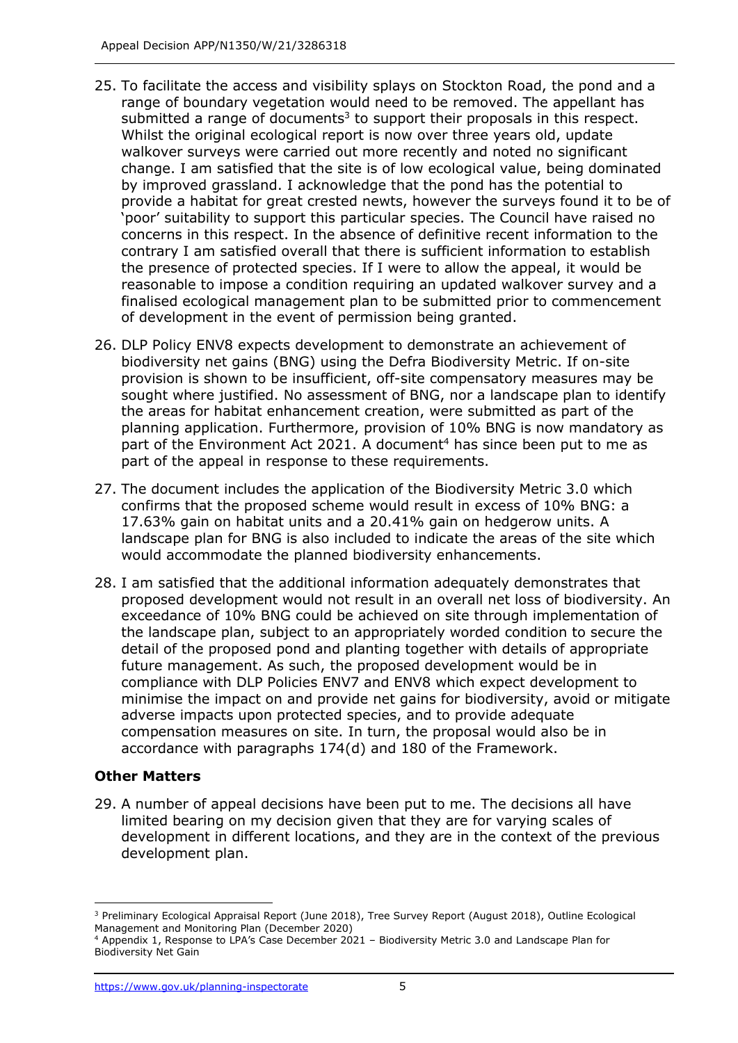- 25. To facilitate the access and visibility splays on Stockton Road, the pond and a range of boundary vegetation would need to be removed. The appellant has submitted a range of documents<sup>3</sup> to support their proposals in this respect. Whilst the original ecological report is now over three years old, update walkover surveys were carried out more recently and noted no significant change. I am satisfied that the site is of low ecological value, being dominated by improved grassland. I acknowledge that the pond has the potential to provide a habitat for great crested newts, however the surveys found it to be of 'poor' suitability to support this particular species. The Council have raised no concerns in this respect. In the absence of definitive recent information to the contrary I am satisfied overall that there is sufficient information to establish the presence of protected species. If I were to allow the appeal, it would be reasonable to impose a condition requiring an updated walkover survey and a finalised ecological management plan to be submitted prior to commencement of development in the event of permission being granted.
- 26. DLP Policy ENV8 expects development to demonstrate an achievement of biodiversity net gains (BNG) using the Defra Biodiversity Metric. If on-site provision is shown to be insufficient, off-site compensatory measures may be sought where justified. No assessment of BNG, nor a landscape plan to identify the areas for habitat enhancement creation, were submitted as part of the planning application. Furthermore, provision of 10% BNG is now mandatory as part of the Environment Act 2021. A document<sup>4</sup> has since been put to me as part of the appeal in response to these requirements.
- 27. The document includes the application of the Biodiversity Metric 3.0 which confirms that the proposed scheme would result in excess of 10% BNG: a 17.63% gain on habitat units and a 20.41% gain on hedgerow units. A landscape plan for BNG is also included to indicate the areas of the site which would accommodate the planned biodiversity enhancements.
- 28. I am satisfied that the additional information adequately demonstrates that proposed development would not result in an overall net loss of biodiversity. An exceedance of 10% BNG could be achieved on site through implementation of the landscape plan, subject to an appropriately worded condition to secure the detail of the proposed pond and planting together with details of appropriate future management. As such, the proposed development would be in compliance with DLP Policies ENV7 and ENV8 which expect development to minimise the impact on and provide net gains for biodiversity, avoid or mitigate adverse impacts upon protected species, and to provide adequate compensation measures on site. In turn, the proposal would also be in accordance with paragraphs 174(d) and 180 of the Framework.

#### **Other Matters**

29. A number of appeal decisions have been put to me. The decisions all have limited bearing on my decision given that they are for varying scales of development in different locations, and they are in the context of the previous development plan.

<sup>3</sup> Preliminary Ecological Appraisal Report (June 2018), Tree Survey Report (August 2018), Outline Ecological Management and Monitoring Plan (December 2020)

<sup>4</sup> Appendix 1, Response to LPA's Case December 2021 – Biodiversity Metric 3.0 and Landscape Plan for Biodiversity Net Gain